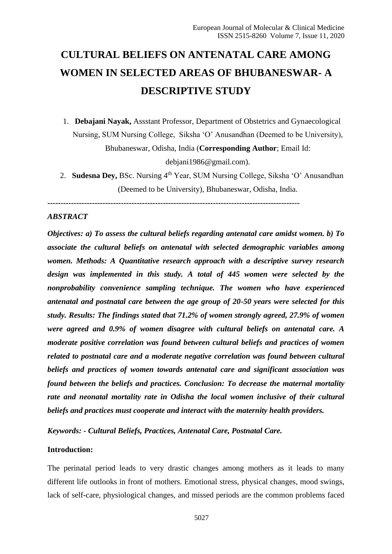# **CULTURAL BELIEFS ON ANTENATAL CARE AMONG WOMEN IN SELECTED AREAS OF BHUBANESWAR- A DESCRIPTIVE STUDY**

1. **Debajani Nayak,** Assstant Professor, Department of Obstetrics and Gynaecological Nursing, SUM Nursing College, Siksha 'O' Anusandhan (Deemed to be University), Bhubaneswar, Odisha, India (**Corresponding Author**; Email Id:

debjani1986@gmail.com).

2. **Sudesna Dey, BSc. Nursing 4th Year, SUM Nursing College, Siksha 'O' Anusandhan** (Deemed to be University), Bhubaneswar, Odisha, India.

**------------------------------------------------------------------------------------------------**

# *ABSTRACT*

*Objectives: a) To assess the cultural beliefs regarding antenatal care amidst women. b) To associate the cultural beliefs on antenatal with selected demographic variables among women. Methods: A Quantitative research approach with a descriptive survey research design was implemented in this study. A total of 445 women were selected by the nonprobability convenience sampling technique. The women who have experienced antenatal and postnatal care between the age group of 20-50 years were selected for this study. Results: The findings stated that 71.2% of women strongly agreed, 27.9% of women were agreed and 0.9% of women disagree with cultural beliefs on antenatal care. A moderate positive correlation was found between cultural beliefs and practices of women related to postnatal care and a moderate negative correlation was found between cultural beliefs and practices of women towards antenatal care and significant association was found between the beliefs and practices. Conclusion: To decrease the maternal mortality rate and neonatal mortality rate in Odisha the local women inclusive of their cultural beliefs and practices must cooperate and interact with the maternity health providers.*

*Keywords: - Cultural Beliefs, Practices, Antenatal Care, Postnatal Care.*

#### **Introduction:**

The perinatal period leads to very drastic changes among mothers as it leads to many different life outlooks in front of mothers. Emotional stress, physical changes, mood swings, lack of self-care, physiological changes, and missed periods are the common problems faced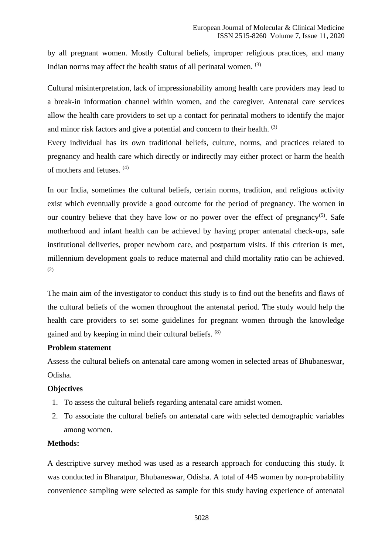by all pregnant women. Mostly Cultural beliefs, improper religious practices, and many Indian norms may affect the health status of all perinatal women. (3)

Cultural misinterpretation, lack of impressionability among health care providers may lead to a break-in information channel within women, and the caregiver. Antenatal care services allow the health care providers to set up a contact for perinatal mothers to identify the major and minor risk factors and give a potential and concern to their health. <sup>(3)</sup>

Every individual has its own traditional beliefs, culture, norms, and practices related to pregnancy and health care which directly or indirectly may either protect or harm the health of mothers and fetuses. (4)

In our India, sometimes the cultural beliefs, certain norms, tradition, and religious activity exist which eventually provide a good outcome for the period of pregnancy. The women in our country believe that they have low or no power over the effect of pregnancy<sup>(5)</sup>. Safe motherhood and infant health can be achieved by having proper antenatal check-ups, safe institutional deliveries, proper newborn care, and postpartum visits. If this criterion is met, millennium development goals to reduce maternal and child mortality ratio can be achieved. (2)

The main aim of the investigator to conduct this study is to find out the benefits and flaws of the cultural beliefs of the women throughout the antenatal period. The study would help the health care providers to set some guidelines for pregnant women through the knowledge gained and by keeping in mind their cultural beliefs. (8)

## **Problem statement**

Assess the cultural beliefs on antenatal care among women in selected areas of Bhubaneswar, Odisha.

## **Objectives**

- 1. To assess the cultural beliefs regarding antenatal care amidst women.
- 2. To associate the cultural beliefs on antenatal care with selected demographic variables among women.

# **Methods:**

A descriptive survey method was used as a research approach for conducting this study. It was conducted in Bharatpur, Bhubaneswar, Odisha. A total of 445 women by non-probability convenience sampling were selected as sample for this study having experience of antenatal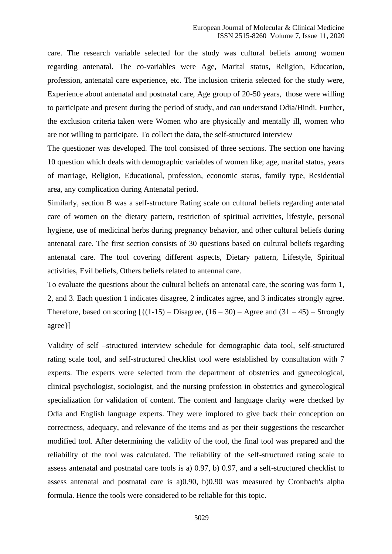care. The research variable selected for the study was cultural beliefs among women regarding antenatal. The co-variables were Age, Marital status, Religion, Education, profession, antenatal care experience, etc. The inclusion criteria selected for the study were, Experience about antenatal and postnatal care, Age group of 20-50 years, those were willing to participate and present during the period of study, and can understand Odia/Hindi. Further, the exclusion criteria taken were Women who are physically and mentally ill, women who are not willing to participate. To collect the data, the self-structured interview

The questioner was developed. The tool consisted of three sections. The section one having 10 question which deals with demographic variables of women like; age, marital status, years of marriage, Religion, Educational, profession, economic status, family type, Residential area, any complication during Antenatal period.

Similarly, section B was a self-structure Rating scale on cultural beliefs regarding antenatal care of women on the dietary pattern, restriction of spiritual activities, lifestyle, personal hygiene, use of medicinal herbs during pregnancy behavior, and other cultural beliefs during antenatal care. The first section consists of 30 questions based on cultural beliefs regarding antenatal care. The tool covering different aspects, Dietary pattern, Lifestyle, Spiritual activities, Evil beliefs, Others beliefs related to antennal care.

To evaluate the questions about the cultural beliefs on antenatal care, the scoring was form 1, 2, and 3. Each question 1 indicates disagree, 2 indicates agree, and 3 indicates strongly agree. Therefore, based on scoring  $\left[ \{ (1-15) - \text{Disagree}, (16-30) - \text{Agree} \text{ and } (31-45) - \text{Strongly} \right]$ agree}]

Validity of self –structured interview schedule for demographic data tool, self-structured rating scale tool, and self-structured checklist tool were established by consultation with 7 experts. The experts were selected from the department of obstetrics and gynecological, clinical psychologist, sociologist, and the nursing profession in obstetrics and gynecological specialization for validation of content. The content and language clarity were checked by Odia and English language experts. They were implored to give back their conception on correctness, adequacy, and relevance of the items and as per their suggestions the researcher modified tool. After determining the validity of the tool, the final tool was prepared and the reliability of the tool was calculated. The reliability of the self-structured rating scale to assess antenatal and postnatal care tools is a) 0.97, b) 0.97, and a self-structured checklist to assess antenatal and postnatal care is a)0.90, b)0.90 was measured by Cronbach's alpha formula. Hence the tools were considered to be reliable for this topic.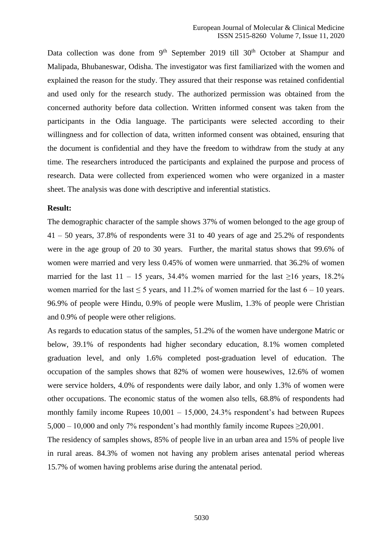Data collection was done from 9<sup>th</sup> September 2019 till 30<sup>th</sup> October at Shampur and Malipada, Bhubaneswar, Odisha. The investigator was first familiarized with the women and explained the reason for the study. They assured that their response was retained confidential and used only for the research study. The authorized permission was obtained from the concerned authority before data collection. Written informed consent was taken from the participants in the Odia language. The participants were selected according to their willingness and for collection of data, written informed consent was obtained, ensuring that the document is confidential and they have the freedom to withdraw from the study at any time. The researchers introduced the participants and explained the purpose and process of research. Data were collected from experienced women who were organized in a master sheet. The analysis was done with descriptive and inferential statistics.

#### **Result:**

The demographic character of the sample shows 37% of women belonged to the age group of 41 – 50 years, 37.8% of respondents were 31 to 40 years of age and 25.2% of respondents were in the age group of 20 to 30 years. Further, the marital status shows that 99.6% of women were married and very less 0.45% of women were unmarried. that 36.2% of women married for the last  $11 - 15$  years, 34.4% women married for the last  $\geq 16$  years, 18.2% women married for the last  $\leq 5$  years, and 11.2% of women married for the last  $6 - 10$  years. 96.9% of people were Hindu, 0.9% of people were Muslim, 1.3% of people were Christian and 0.9% of people were other religions.

As regards to education status of the samples, 51.2% of the women have undergone Matric or below, 39.1% of respondents had higher secondary education, 8.1% women completed graduation level, and only 1.6% completed post-graduation level of education. The occupation of the samples shows that 82% of women were housewives, 12.6% of women were service holders, 4.0% of respondents were daily labor, and only 1.3% of women were other occupations. The economic status of the women also tells, 68.8% of respondents had monthly family income Rupees 10,001 – 15,000, 24.3% respondent's had between Rupees  $5,000 - 10,000$  and only 7% respondent's had monthly family income Rupees  $\geq 20,001$ .

The residency of samples shows, 85% of people live in an urban area and 15% of people live in rural areas. 84.3% of women not having any problem arises antenatal period whereas 15.7% of women having problems arise during the antenatal period.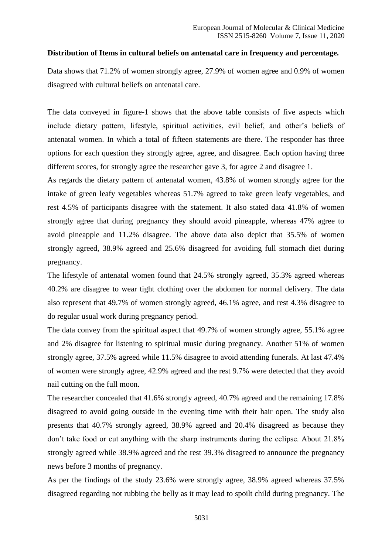#### **Distribution of Items in cultural beliefs on antenatal care in frequency and percentage.**

Data shows that 71.2% of women strongly agree, 27.9% of women agree and 0.9% of women disagreed with cultural beliefs on antenatal care.

The data conveyed in figure-1 shows that the above table consists of five aspects which include dietary pattern, lifestyle, spiritual activities, evil belief, and other's beliefs of antenatal women. In which a total of fifteen statements are there. The responder has three options for each question they strongly agree, agree, and disagree. Each option having three different scores, for strongly agree the researcher gave 3, for agree 2 and disagree 1.

As regards the dietary pattern of antenatal women, 43.8% of women strongly agree for the intake of green leafy vegetables whereas 51.7% agreed to take green leafy vegetables, and rest 4.5% of participants disagree with the statement. It also stated data 41.8% of women strongly agree that during pregnancy they should avoid pineapple, whereas 47% agree to avoid pineapple and 11.2% disagree. The above data also depict that 35.5% of women strongly agreed, 38.9% agreed and 25.6% disagreed for avoiding full stomach diet during pregnancy.

The lifestyle of antenatal women found that 24.5% strongly agreed, 35.3% agreed whereas 40.2% are disagree to wear tight clothing over the abdomen for normal delivery. The data also represent that 49.7% of women strongly agreed, 46.1% agree, and rest 4.3% disagree to do regular usual work during pregnancy period.

The data convey from the spiritual aspect that 49.7% of women strongly agree, 55.1% agree and 2% disagree for listening to spiritual music during pregnancy. Another 51% of women strongly agree, 37.5% agreed while 11.5% disagree to avoid attending funerals. At last 47.4% of women were strongly agree, 42.9% agreed and the rest 9.7% were detected that they avoid nail cutting on the full moon.

The researcher concealed that 41.6% strongly agreed, 40.7% agreed and the remaining 17.8% disagreed to avoid going outside in the evening time with their hair open. The study also presents that 40.7% strongly agreed, 38.9% agreed and 20.4% disagreed as because they don't take food or cut anything with the sharp instruments during the eclipse. About 21.8% strongly agreed while 38.9% agreed and the rest 39.3% disagreed to announce the pregnancy news before 3 months of pregnancy.

As per the findings of the study 23.6% were strongly agree, 38.9% agreed whereas 37.5% disagreed regarding not rubbing the belly as it may lead to spoilt child during pregnancy. The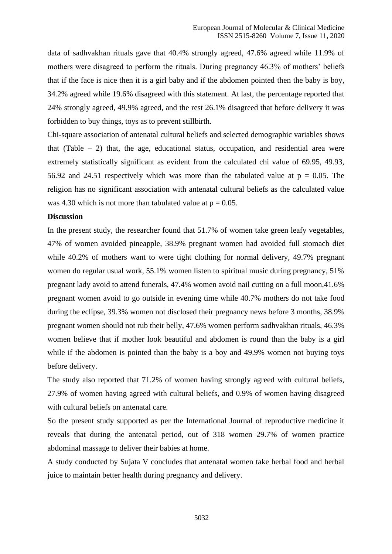data of sadhvakhan rituals gave that 40.4% strongly agreed, 47.6% agreed while 11.9% of mothers were disagreed to perform the rituals. During pregnancy 46.3% of mothers' beliefs that if the face is nice then it is a girl baby and if the abdomen pointed then the baby is boy, 34.2% agreed while 19.6% disagreed with this statement. At last, the percentage reported that 24% strongly agreed, 49.9% agreed, and the rest 26.1% disagreed that before delivery it was forbidden to buy things, toys as to prevent stillbirth.

Chi-square association of antenatal cultural beliefs and selected demographic variables shows that (Table  $-2$ ) that, the age, educational status, occupation, and residential area were extremely statistically significant as evident from the calculated chi value of 69.95, 49.93, 56.92 and 24.51 respectively which was more than the tabulated value at  $p = 0.05$ . The religion has no significant association with antenatal cultural beliefs as the calculated value was 4.30 which is not more than tabulated value at  $p = 0.05$ .

#### **Discussion**

In the present study, the researcher found that 51.7% of women take green leafy vegetables, 47% of women avoided pineapple, 38.9% pregnant women had avoided full stomach diet while 40.2% of mothers want to were tight clothing for normal delivery, 49.7% pregnant women do regular usual work, 55.1% women listen to spiritual music during pregnancy, 51% pregnant lady avoid to attend funerals, 47.4% women avoid nail cutting on a full moon,41.6% pregnant women avoid to go outside in evening time while 40.7% mothers do not take food during the eclipse, 39.3% women not disclosed their pregnancy news before 3 months, 38.9% pregnant women should not rub their belly, 47.6% women perform sadhvakhan rituals, 46.3% women believe that if mother look beautiful and abdomen is round than the baby is a girl while if the abdomen is pointed than the baby is a boy and 49.9% women not buying toys before delivery.

The study also reported that 71.2% of women having strongly agreed with cultural beliefs, 27.9% of women having agreed with cultural beliefs, and 0.9% of women having disagreed with cultural beliefs on antenatal care.

So the present study supported as per the International Journal of reproductive medicine it reveals that during the antenatal period, out of 318 women 29.7% of women practice abdominal massage to deliver their babies at home.

A study conducted by Sujata V concludes that antenatal women take herbal food and herbal juice to maintain better health during pregnancy and delivery.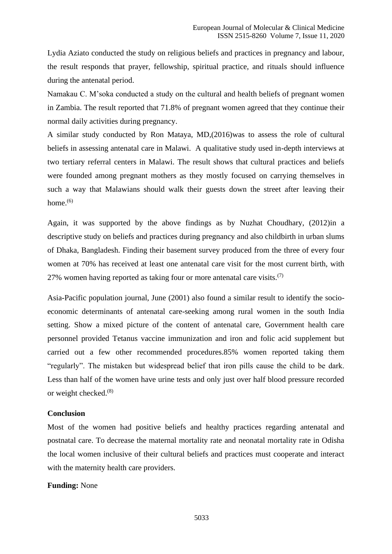Lydia Aziato conducted the study on religious beliefs and practices in pregnancy and labour, the result responds that prayer, fellowship, spiritual practice, and rituals should influence during the antenatal period.

Namakau C. M'soka conducted a study on the cultural and health beliefs of pregnant women in Zambia. The result reported that 71.8% of pregnant women agreed that they continue their normal daily activities during pregnancy.

A similar study conducted by Ron Mataya, MD,(2016)was to assess the role of cultural beliefs in assessing antenatal care in Malawi. A qualitative study used in-depth interviews at two tertiary referral centers in Malawi. The result shows that cultural practices and beliefs were founded among pregnant mothers as they mostly focused on carrying themselves in such a way that Malawians should walk their guests down the street after leaving their home. $(6)$ 

Again, it was supported by the above findings as by Nuzhat Choudhary, (2012)in a descriptive study on beliefs and practices during pregnancy and also childbirth in urban slums of Dhaka, Bangladesh. Finding their basement survey produced from the three of every four women at 70% has received at least one antenatal care visit for the most current birth, with 27% women having reported as taking four or more antenatal care visits.<sup>(7)</sup>

Asia-Pacific population journal, June (2001) also found a similar result to identify the socioeconomic determinants of antenatal care-seeking among rural women in the south India setting. Show a mixed picture of the content of antenatal care, Government health care personnel provided Tetanus vaccine immunization and iron and folic acid supplement but carried out a few other recommended procedures.85% women reported taking them "regularly". The mistaken but widespread belief that iron pills cause the child to be dark. Less than half of the women have urine tests and only just over half blood pressure recorded or weight checked.(8)

#### **Conclusion**

Most of the women had positive beliefs and healthy practices regarding antenatal and postnatal care. To decrease the maternal mortality rate and neonatal mortality rate in Odisha the local women inclusive of their cultural beliefs and practices must cooperate and interact with the maternity health care providers.

#### **Funding:** None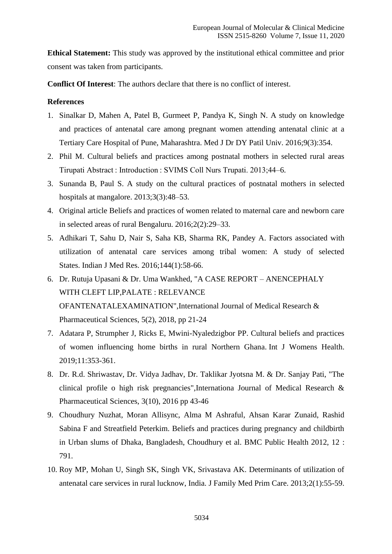**Ethical Statement:** This study was approved by the institutional ethical committee and prior consent was taken from participants.

**Conflict Of Interest**: The authors declare that there is no conflict of interest.

# **References**

- 1. Sinalkar D, Mahen A, Patel B, Gurmeet P, Pandya K, Singh N. A study on knowledge and practices of antenatal care among pregnant women attending antenatal clinic at a Tertiary Care Hospital of Pune, Maharashtra. Med J Dr DY Patil Univ. 2016;9(3):354.
- 2. Phil M. Cultural beliefs and practices among postnatal mothers in selected rural areas Tirupati Abstract : Introduction : SVIMS Coll Nurs Trupati. 2013;44–6.
- 3. Sunanda B, Paul S. A study on the cultural practices of postnatal mothers in selected hospitals at mangalore. 2013;3(3):48–53.
- 4. Original article Beliefs and practices of women related to maternal care and newborn care in selected areas of rural Bengaluru. 2016;2(2):29–33.
- 5. Adhikari T, Sahu D, Nair S, Saha KB, Sharma RK, Pandey A. Factors associated with utilization of antenatal care services among tribal women: A study of selected States. Indian J Med Res. 2016;144(1):58-66.
- 6. Dr. Rutuja Upasani & Dr. Uma Wankhed, "A CASE REPORT ANENCEPHALY WITH CLEFT LIP,PALATE : RELEVANCE OFANTENATALEXAMINATION",International Journal of Medical Research & Pharmaceutical Sciences, 5(2), 2018, pp 21-24
- 7. Adatara P, Strumpher J, Ricks E, Mwini-Nyaledzigbor PP. Cultural beliefs and practices of women influencing home births in rural Northern Ghana. Int J Womens Health. 2019;11:353-361.
- 8. Dr. R.d. Shriwastav, Dr. Vidya Jadhav, Dr. Taklikar Jyotsna M. & Dr. Sanjay Pati, "The clinical profile o high risk pregnancies",Internationa Journal of Medical Research & Pharmaceutical Sciences, 3(10), 2016 pp 43-46
- 9. Choudhury Nuzhat, Moran Allisync, Alma M Ashraful, Ahsan Karar Zunaid, Rashid Sabina F and Streatfield Peterkim. Beliefs and practices during pregnancy and childbirth in Urban slums of Dhaka, Bangladesh, Choudhury et al. BMC Public Health 2012, 12 : 791.
- 10. Roy MP, Mohan U, Singh SK, Singh VK, Srivastava AK. Determinants of utilization of antenatal care services in rural lucknow, India. J Family Med Prim Care. 2013;2(1):55-59.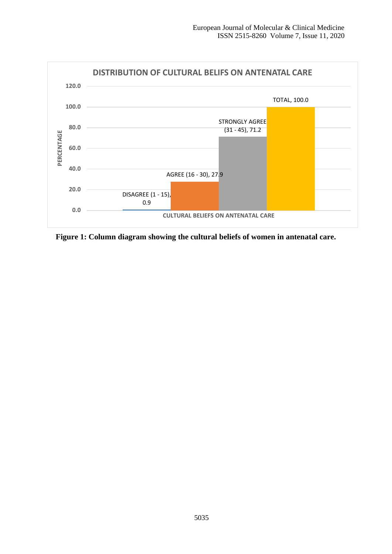

**Figure 1: Column diagram showing the cultural beliefs of women in antenatal care.**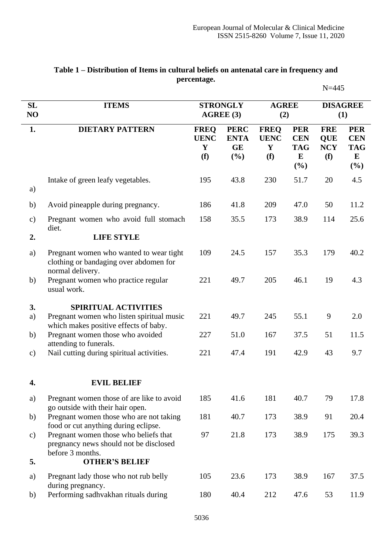|               |                                                                                                       |                                        |                                                |                                        |                                                               | $N = 445$                                     |                                                              |  |
|---------------|-------------------------------------------------------------------------------------------------------|----------------------------------------|------------------------------------------------|----------------------------------------|---------------------------------------------------------------|-----------------------------------------------|--------------------------------------------------------------|--|
| SL<br>NO      | <b>ITEMS</b>                                                                                          | <b>STRONGLY</b><br>AGREE (3)           |                                                | <b>AGREE</b><br>(2)                    |                                                               | <b>DISAGREE</b><br>(1)                        |                                                              |  |
| 1.            | <b>DIETARY PATTERN</b>                                                                                | <b>FREQ</b><br><b>UENC</b><br>Y<br>(f) | <b>PERC</b><br><b>ENTA</b><br><b>GE</b><br>(%) | <b>FREQ</b><br><b>UENC</b><br>Y<br>(f) | <b>PER</b><br><b>CEN</b><br><b>TAG</b><br>${\bf E}$<br>$(\%)$ | <b>FRE</b><br><b>QUE</b><br><b>NCY</b><br>(f) | <b>PER</b><br><b>CEN</b><br><b>TAG</b><br>$\bf{E}$<br>$(\%)$ |  |
| a)            | Intake of green leafy vegetables.                                                                     | 195                                    | 43.8                                           | 230                                    | 51.7                                                          | 20                                            | 4.5                                                          |  |
| b)            | Avoid pineapple during pregnancy.                                                                     | 186                                    | 41.8                                           | 209                                    | 47.0                                                          | 50                                            | 11.2                                                         |  |
| $\mathbf{c})$ | Pregnant women who avoid full stomach<br>diet.                                                        | 158                                    | 35.5                                           | 173                                    | 38.9                                                          | 114                                           | 25.6                                                         |  |
| 2.            | <b>LIFE STYLE</b>                                                                                     |                                        |                                                |                                        |                                                               |                                               |                                                              |  |
| a)            | Pregnant women who wanted to wear tight<br>clothing or bandaging over abdomen for<br>normal delivery. | 109                                    | 24.5                                           | 157                                    | 35.3                                                          | 179                                           | 40.2                                                         |  |
| b)            | Pregnant women who practice regular<br>usual work.                                                    | 221                                    | 49.7                                           | 205                                    | 46.1                                                          | 19                                            | 4.3                                                          |  |
| 3.            | <b>SPIRITUAL ACTIVITIES</b>                                                                           |                                        |                                                |                                        |                                                               |                                               |                                                              |  |
| a)            | Pregnant women who listen spiritual music<br>which makes positive effects of baby.                    | 221                                    | 49.7                                           | 245                                    | 55.1                                                          | 9                                             | 2.0                                                          |  |
| b)            | Pregnant women those who avoided<br>attending to funerals.                                            | 227                                    | 51.0                                           | 167                                    | 37.5                                                          | 51                                            | 11.5                                                         |  |
| $\mathbf{c})$ | Nail cutting during spiritual activities.                                                             | 221                                    | 47.4                                           | 191                                    | 42.9                                                          | 43                                            | 9.7                                                          |  |
| 4.            | <b>EVIL BELIEF</b>                                                                                    |                                        |                                                |                                        |                                                               |                                               |                                                              |  |
| a)            | Pregnant women those of are like to avoid<br>go outside with their hair open.                         | 185                                    | 41.6                                           | 181                                    | 40.7                                                          | 79                                            | 17.8                                                         |  |
| b)            | Pregnant women those who are not taking<br>food or cut anything during eclipse.                       | 181                                    | 40.7                                           | 173                                    | 38.9                                                          | 91                                            | 20.4                                                         |  |
| $\mathbf{c})$ | Pregnant women those who beliefs that<br>pregnancy news should not be disclosed<br>before 3 months.   | 97                                     | 21.8                                           | 173                                    | 38.9                                                          | 175                                           | 39.3                                                         |  |
| 5.            | <b>OTHER'S BELIEF</b>                                                                                 |                                        |                                                |                                        |                                                               |                                               |                                                              |  |
| a)            | Pregnant lady those who not rub belly<br>during pregnancy.                                            | 105                                    | 23.6                                           | 173                                    | 38.9                                                          | 167                                           | 37.5                                                         |  |
| b)            | Performing sadhvakhan rituals during                                                                  | 180                                    | 40.4                                           | 212                                    | 47.6                                                          | 53                                            | 11.9                                                         |  |

# **Table 1 – Distribution of Items in cultural beliefs on antenatal care in frequency and percentage.**